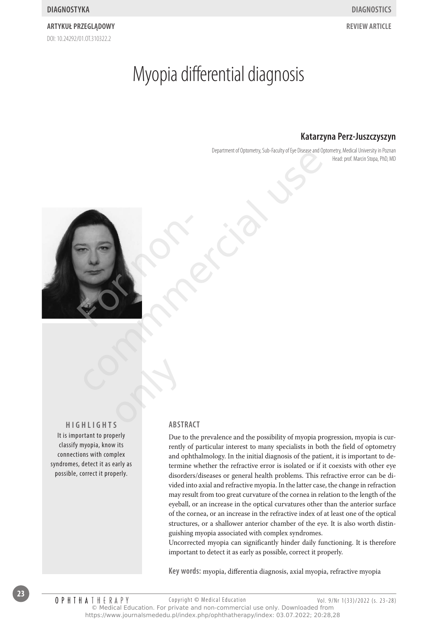## DOI: 10.24292/01.0T310322.2 **Artykuł przeglądowy review article**

# Myopia differential diagnosis

# **Katarzyna Perz-Juszczyszyn**

Department of Optometry, Sub-Faculty of Eye Disease and Optometry, Medical University in Poznan Head: prof. Marcin Stopa, PhD, MD



**Hig h lig h t s** It is important to properly classify myopia, know its connections with complex syndromes, detect it as early as possible, correct it properly. **Change** 

#### **Abstract**

Due to the prevalence and the possibility of myopia progression, myopia is currently of particular interest to many specialists in both the field of optometry and ophthalmology. In the initial diagnosis of the patient, it is important to determine whether the refractive error is isolated or if it coexists with other eye disorders/diseases or general health problems. This refractive error can be divided into axial and refractive myopia. In the latter case, the change in refraction may result from too great curvature of the cornea in relation to the length of the eyeball, or an increase in the optical curvatures other than the anterior surface of the cornea, or an increase in the refractive index of at least one of the optical structures, or a shallower anterior chamber of the eye. It is also worth distinguishing myopia associated with complex syndromes.

Uncorrected myopia can significantly hinder daily functioning. It is therefore important to detect it as early as possible, correct it properly.

**Key words:** myopia, differentia diagnosis, axial myopia, refractive myopia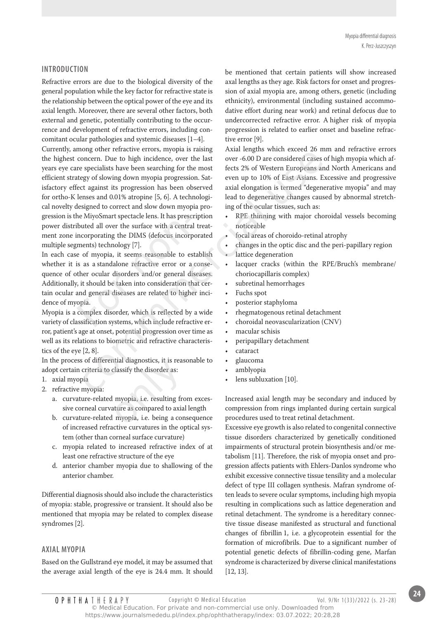#### **Introduction**

Refractive errors are due to the biological diversity of the general population while the key factor for refractive state is the relationship between the optical power of the eye and its axial length. Moreover, there are several other factors, both external and genetic, potentially contributing to the occurrence and development of refractive errors, including concomitant ocular pathologies and systemic diseases [1–4].

Currently, among other refractive errors, myopia is raising the highest concern. Due to high incidence, over the last years eye care specialists have been searching for the most efficient strategy of slowing down myopia progression. Satisfactory effect against its progression has been observed for ortho-K lenses and 0.01% atropine [5, 6]. A technological novelty designed to correct and slow down myopia progression is the MiyoSmart spectacle lens. It has prescription power distributed all over the surface with a central treatment zone incorporating the DIMS (defocus incorporated multiple segments) technology [7]. conditerative errors of happension. Satsum extant entered to minimal operation the specialists have been searching for the most fects 2% of Western Europeans and expect of solving down myopia progression. Sat - even up to

In each case of myopia, it seems reasonable to establish whether it is as a standalone refractive error or a consequence of other ocular disorders and/or general diseases. Additionally, it should be taken into consideration that certain ocular and general diseases are related to higher incidence of myopia. he MiyoSmart spectacle lens. It has prescibuted all over the surface with a central<br>incorporating the DIMS (defocus incorp<br>ments) technology [7].<br>e of myopia, it seems reasonable to es<br>is as a standalone refractive error o

Myopia is a complex disorder, which is reflected by a wide variety of classification systems, which include refractive error, patient's age at onset, potential progression over time as well as its relations to biometric and refractive characteristics of the eye [2, 8].

In the process of differential diagnostics, it is reasonable to adopt certain criteria to classify the disorder as:

- 1. axial myopia
- 2. refractive myopia:
- a. curvature-related myopia, i.e. resulting from excessive corneal curvature as compared to axial length tial diagnostics, it is reas<br>classify the disorder as:<br>myopia, i.e. resulting fro<br>ature as compared to axia<br>myopia, i.e. being a con
	- b. curvature-related myopia, i.e. being a consequence of increased refractive curvatures in the optical system (other than corneal surface curvature)
	- c. myopia related to increased refractive index of at least one refractive structure of the eye
	- d. anterior chamber myopia due to shallowing of the anterior chamber.

Differential diagnosis should also include the characteristics of myopia: stable, progressive or transient. It should also be mentioned that myopia may be related to complex disease syndromes [2].

#### **Axial myopia**

**OPHIHATHERAPY** 

Based on the Gullstrand eye model, it may be assumed that the average axial length of the eye is 24.4 mm. It should be mentioned that certain patients will show increased axal lengths as they age. Risk factors for onset and progression of axial myopia are, among others, genetic (including ethnicity), environmental (including sustained accommodative effort during near work) and retinal defocus due to undercorrected refractive error. A higher risk of myopia progression is related to earlier onset and baseline refractive error [9].

Axial lengths which exceed 26 mm and refractive errors over -6.00 D are considered cases of high myopia which affects 2% of Western Europeans and North Americans and even up to 10% of East Asians. Excessive and progressive axial elongation is termed "degenerative myopia" and may lead to degenerative changes caused by abnormal stretching of the ocular tissues, such as:

- RPE thinning with major choroidal vessels becoming noticeable
- focal areas of choroido-retinal atrophy
- changes in the optic disc and the peri-papillary region lattice degeneration
- • lacquer cracks (within the RPE/Bruch's membrane/ choriocapillaris complex)
- • subretinal hemorrhages
- • Fuchs spot
- • posterior staphyloma
- • rhegmatogenous retinal detachment
- choroidal neovascularization (CNV)
- macular schisis
- • peripapillary detachment
- cataract
- • glaucoma
- amblyopia
- lens subluxation [10].

Increased axial length may be secondary and induced by compression from rings implanted during certain surgical procedures used to treat retinal detachment.

Excessive eye growth is also related to congenital connective tissue disorders characterized by genetically conditioned impairments of structural protein biosynthesis and/or metabolism [11]. Therefore, the risk of myopia onset and progression affects patients with Ehlers-Danlos syndrome who exhibit excessive connective tissue tensility and a molecular defect of type III collagen synthesis. Mafran syndrome often leads to severe ocular symptoms, including high myopia resulting in complications such as lattice degeneration and retinal detachment. The syndrome is a hereditary connective tissue disease manifested as structural and functional changes of fibrillin 1, i.e. a glycoprotein essential for the formation of microfibrils. Due to a significant number of potential genetic defects of fibrillin-coding gene, Marfan syndrome is characterized by diverse clinical manifestations [12, 13].

Copyright © Medical Education Vol. 9/Nr 1(33)/2022 (s. 23-28)

© Medical Education. For private and non-commercial use only. Downloaded from https://www.journalsmededu.pl/index.php/ophthatherapy/index: 03.07.2022; 20:28,28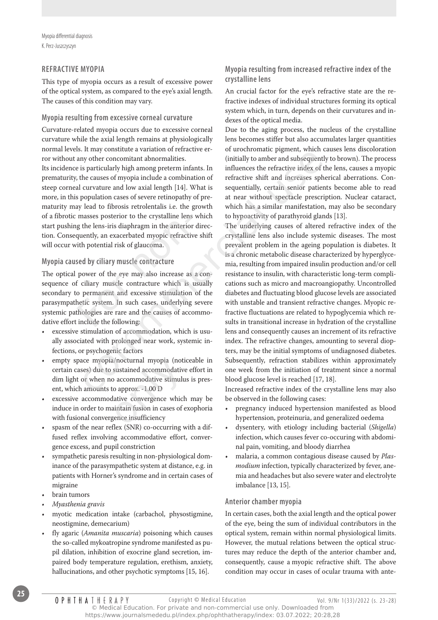Myopia differential diagnosis K. Perz-Juszczyszyn

#### **Refractive myopia**

This type of myopia occurs as a result of excessive power of the optical system, as compared to the eye's axial length. The causes of this condition may vary.

#### **Myopia resulting from excessive corneal curvature**

Curvature-related myopia occurs due to excessive corneal curvature while the axial length remains at physiologically normal levels. It may constitute a variation of refractive error without any other concomitant abnormalities.

Its incidence is particularly high among preterm infants. In prematurity, the causes of myopia include a combination of steep corneal curvature and low axial length [14]. What is more, in this population cases of severe retinopathy of prematurity may lead to fibrosis retrolentalis i.e. the growth of a fibrotic masses posterior to the crystalline lens which start pushing the lens-iris diaphragm in the anterior direction. Consequently, an exacerbated myopic refractive shift will occur with potential risk of glaucoma.

#### **Myopia caused by ciliary muscle contracture**

The optical power of the eye may also increase as a consequence of ciliary muscle contracture which is usually secondary to permanent and excessive stimulation of the parasympathetic system. In such cases, underlying severe systemic pathologies are rare and the causes of accommodative effort include the following: masses posterior to the crystalline lens<br>g the lens-iris diaphragm in the anterior<br>quently, an exacerbated myopic refractive<br>tith potential risk of glaucoma.<br>sed by ciliary muscle contracture<br>power of the eye may also incr

- excessive stimulation of accommodation, which is usually associated with prolonged near work, systemic infections, or psychogenic factors
- empty space myopia/nocturnal myopia (noticeable in certain cases) due to sustained accommodative effort in dim light or when no accommodative stimulus is present, which amounts to approx. -1.00 D Anocturnal myopia (noti<br>sustained accommodative<br>o approx. -1.00 D<br>lative convergence which<br>aintain fusion in cases of e<br>gence insufficiency
- • excessive accommodative convergence which may be induce in order to maintain fusion in cases of exophoria with fusional convergence insufficiency
- spasm of the near reflex (SNR) co-occurring with a diffused reflex involving accommodative effort, convergence excess, and pupil constriction
- sympathetic paresis resulting in non-physiological dominance of the parasympathetic system at distance, e.g. in patients with Horner's syndrome and in certain cases of migraine
- brain tumors
- *• Myasthenia gravis*
- myotic medication intake (carbachol, physostigmine, neostigmine, demecarium)
- fly agaric (*Amanita muscaria*) poisoning which causes the so-called mykoatropine syndrome manifested as pupil dilation, inhibition of exocrine gland secretion, impaired body temperature regulation, erethism, anxiety, hallucinations, and other psychotic symptoms [15, 16].

#### **Myopia resulting from increased refractive index of the crystalline lens**

An crucial factor for the eye's refractive state are the refractive indexes of individual structures forming its optical system which, in turn, depends on their curvatures and indexes of the optical media.

Due to the aging process, the nucleus of the crystalline lens becomes stiffer but also accumulates larger quantities of urochromatic pigment, which causes lens discoloration (initially to amber and subsequently to brown). The process influences the refractive index of the lens, causes a myopic refractive shift and increases spherical aberrations. Consequentially, certain senior patients become able to read at near without spectacle prescription. Nuclear cataract, which has a similar manifestation, may also be secondary to hypoactivity of parathyroid glands [13].

The underlying causes of altered refractive index of the crystalline lens also include systemic diseases. The most prevalent problem in the ageing population is diabetes. It is a chronic metabolic disease characterized by hyperglycemia, resulting from impaired insulin production and/or cell resistance to insulin, with characteristic long-term complications such as micro and macroangiopathy. Uncontrolled diabetes and fluctuating blood glucose levels are associated with unstable and transient refractive changes. Myopic refractive fluctuations are related to hypoglycemia which results in transitional increase in hydration of the crystalline lens and consequently causes an increment of its refractive index. The refractive changes, amounting to several diopters, may be the initial symptoms of undiagnosed diabetes. Subsequently, refraction stabilizes within approximately one week from the initiation of treatment since a normal blood glucose level is reached [17, 18]. For the end contractive transmittering unter the control of the commutative points in the cause of my other concentrat about these in the cause of the cause of my other commutation of the cause of my included a combinatio

Increased refractive index of the crystalline lens may also be observed in the following cases:

- • pregnancy induced hypertension manifested as blood hypertension, proteinuria, and generalized oedema
- • dysentery, with etiology including bacterial (*Shigella*) infection, which causes fever co-occuring with abdominal pain, vomiting, and bloody diarrhea
- • malaria, a common contagious disease caused by *Plasmodium* infection, typically characterized by fever, anemia and headaches but also severe water and electrolyte imbalance [13, 15].

#### **Anterior chamber myopia**

In certain cases, both the axial length and the optical power of the eye, being the sum of individual contributors in the optical system, remain within normal physiological limits. However, the mutual relations between the optical structures may reduce the depth of the anterior chamber and, consequently, cause a myopic refractive shift. The above condition may occur in cases of ocular trauma with ante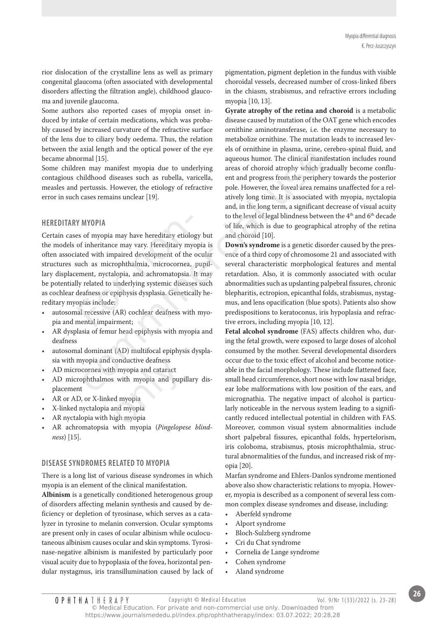rior dislocation of the crystalline lens as well as primary congenital glaucoma (often associated with developmental disorders affecting the filtration angle), childhood glaucoma and juvenile glaucoma.

Some authors also reported cases of myopia onset induced by intake of certain medications, which was probably caused by increased curvature of the refractive surface of the lens due to ciliary body oedema. Thus, the relation between the axial length and the optical power of the eye became abnormal [15].

Some children may manifest myopia due to underlying contagious childhood diseases such as rubella, varicella, measles and pertussis. However, the etiology of refractive error in such cases remains unclear [19].

#### **Hereditary myopia**

Certain cases of myopia may have hereditary etiology but the models of inheritance may vary. Hereditary myopia is often associated with impaired development of the ocular structures such as microphthalmia, microcornea, pupillary displacement, nyctalopia, and achromatopsia. It may be potentially related to underlying systemic diseases such as cochlear deafness or epiphysis dysplasia. Genetically hereditary myopias include: Y MY0PIA<br>es of myopia may have hereditary etiolo<br>of inheritance may vary. Hereditary my<br>ated with impaired development of the<br>such as microphthalmia, microcornea,<br>ement, nyctalopia, and achromatopsia.<br>ly related to underly Example and the updata power of the eyes of ounder the plasma, thence the same propagation and its plasma and experiment may manifest myopia due to underlying areas of choroid atrophy which gradient may manifest myopia du

- autosomal recessive (AR) cochlear deafness with myopia and mental impairment;
- AR dysplasia of femur head epiphysis with myopia and deafness
- autosomal dominant (AD) multifocal epiphysis dysplasia with myopia and conductive deafness
- AD microcornea with myopia and cataract
- • AD microphthalmos with myopia and pupillary displacement conductive deatness<br>h myopia and cataract<br>s with myopia and pupi<br>ed myopia<br>and myopia<br>uigh myopia
- • AR or AD, or X-linked myopia
- • X-linked nyctalopia and myopia
- AR nyctalopia with high myopia
- AR achromatopsia with myopia (Pingelopese blind*ness*) [15].

#### **Disease syndromes related to myopia**

There is a long list of various disease syndromes in which myopia is an element of the clinical manifestation.

**Albinism** is a genetically conditioned heterogenous group of disorders affecting melanin synthesis and caused by deficiency or depletion of tyrosinase, which serves as a catalyzer in tyrosine to melanin conversion. Ocular symptoms are present only in cases of ocular albinism while oculocutaneous albinism causes ocular and skin symptoms. Tyrosinase-negative albinism is manifested by particularly poor visual acuity due to hypoplasia of the fovea, horizontal pendular nystagmus, iris transillumination caused by lack of pigmentation, pigment depletion in the fundus with visible choroidal vessels, decreased number of cross-linked fibers in the chiasm, strabismus, and refractive errors including myopia [10, 13].

**Gyrate atrophy of the retina and choroid** is a metabolic disease caused by mutation of the OAT gene which encodes ornithine aminotransferase, i.e. the enzyme necessary to metabolize ornithine. The mutation leads to increased levels of ornithine in plasma, urine, cerebro-spinal fluid, and aqueous humor. The clinical manifestation includes round areas of choroid atrophy which gradually become confluent and progress from the periphery towards the posterior pole. However, the foveal area remains unaffected for a relatively long time. It is associated with myopia, nyctalopia and, in the long term, a significant decrease of visual acuity to the level of legal blindness between the 4<sup>th</sup> and 6<sup>th</sup> decade of life, which is due to geographical atrophy of the retina and choroid [10].

**Down's syndrome** is a genetic disorder caused by the presence of a third copy of chromosome 21 and associated with several characteristic morphological features and mental retardation. Also, it is commonly associated with ocular abnormalities such as upslanting palpebral fissures, chronic blepharitis, ectropion, epicanthal folds, strabismus, nystagmus, and lens opacification (blue spots). Patients also show predispositions to keratoconus, iris hypoplasia and refractive errors, including myopia [10, 12].

**Fetal alcohol syndrome** (FAS) affects children who, during the fetal growth, were exposed to large doses of alcohol consumed by the mother. Several developmental disorders occur due to the toxic effect of alcohol and become noticeable in the facial morphology. These include flattened face, small head circumference, short nose with low nasal bridge, ear lobe malformations with low position of the ears, and micrognathia. The negative impact of alcohol is particularly noticeable in the nervous system leading to a significantly reduced intellectual potential in children with FAS. Moreover, common visual system abnormalities include short palpebral fissures, epicanthal folds, hypertelorism, iris coloboma, strabismus, ptosis microphthalmia, structural abnormalities of the fundus, and increased risk of myopia [20].

Marfan syndrome and Ehlers-Danlos syndrome mentioned above also show characteristic relations to myopia. However, myopia is described as a component of several less common complex disease syndromes and disease, including:

- • Aberfeld syndrome
- • Alport syndrome
- Bloch-Sulzberg syndrome
- • Cri du Chat syndrome
- • Cornelia de Lange syndrome
- Cohen syndrome
- Aland syndrome

© Medical Education. For private and non-commercial use only. Downloaded from https://www.journalsmededu.pl/index.php/ophthatherapy/index: 03.07.2022; 20:28,28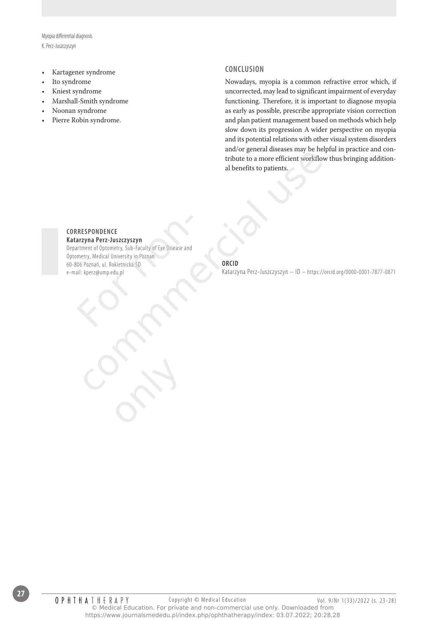Myopia differential diagnosis K. Perz-Juszczyszyn

- • Kartagener syndrome
- Ito syndrome
- Kniest syndrome
- Marshall-Smith syndrome
- Noonan syndrome
- Pierre Robin syndrome.

#### **Conclusion**

Nowadays, myopia is a common refractive error which, if uncorrected, may lead to significant impairment of everyday functioning. Therefore, it is important to diagnose myopia as early as possible, prescribe appropriate vision correction and plan patient management based on methods which help slow down its progression A wider perspective on myopia and its potential relations with other visual system disorders and/or general diseases may be helpful in practice and contribute to a more efficient workflow thus bringing additional benefits to patients.

### **Correspondence**

**Katarzyna Perz-Juszczyszyn**

Department of Optometry, Sub-Faculty of Eye Disease and Optometry, Medical University in Poznan 60-806 Poznań, ul. Rokietnicka 5D e-mail: kperz@ump.edu.pl RESPONDENCE<br>
Arzyna Perz-Juszczyszyn<br>
Artment of Optometry, Sub-Faculty of Eye Disease and<br>
metry, Medical University in Poznan<br>
106 Poznań, ul. Rokietnicka 5D<br>
ail: kperz@ump.edu.pl<br>
Archives Compared Compared Compared Co experiment of the community of the distance of the community of the community of the community and the community and the community and the community and the community of the distance of the community of the distance of the

only

#### **ORCID**

Katarzyna Perz-Juszczyszyn – ID – https://orcid.org/0000-0001-7877-0871